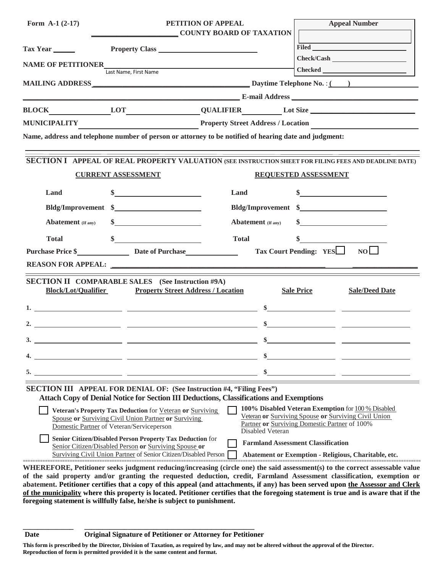| Form A-1 $(2-17)$                                                                                                                                                 |                                                                                                                   | PETITION OF APPEAL<br><b>COUNTY BOARD OF TAXATION</b>                                                 |                                                                                                                                                             | <b>Appeal Number</b>  |  |
|-------------------------------------------------------------------------------------------------------------------------------------------------------------------|-------------------------------------------------------------------------------------------------------------------|-------------------------------------------------------------------------------------------------------|-------------------------------------------------------------------------------------------------------------------------------------------------------------|-----------------------|--|
| Tax Year                                                                                                                                                          | Property Class                                                                                                    |                                                                                                       |                                                                                                                                                             | Filed <b>Filed</b>    |  |
| <b>NAME OF PETITIONER</b>                                                                                                                                         |                                                                                                                   |                                                                                                       |                                                                                                                                                             | Check/Cash            |  |
|                                                                                                                                                                   | Last Name, First Name                                                                                             |                                                                                                       |                                                                                                                                                             |                       |  |
|                                                                                                                                                                   |                                                                                                                   |                                                                                                       |                                                                                                                                                             |                       |  |
|                                                                                                                                                                   |                                                                                                                   |                                                                                                       |                                                                                                                                                             |                       |  |
|                                                                                                                                                                   |                                                                                                                   |                                                                                                       |                                                                                                                                                             |                       |  |
|                                                                                                                                                                   |                                                                                                                   |                                                                                                       |                                                                                                                                                             |                       |  |
|                                                                                                                                                                   |                                                                                                                   | Name, address and telephone number of person or attorney to be notified of hearing date and judgment: |                                                                                                                                                             |                       |  |
| SECTION I APPEAL OF REAL PROPERTY VALUATION (SEE INSTRUCTION SHEET FOR FILING FEES AND DEADLINE DATE)<br><b>CURRENT ASSESSMENT</b><br><b>REQUESTED ASSESSMENT</b> |                                                                                                                   |                                                                                                       |                                                                                                                                                             |                       |  |
|                                                                                                                                                                   |                                                                                                                   |                                                                                                       |                                                                                                                                                             |                       |  |
| Land                                                                                                                                                              |                                                                                                                   | Land                                                                                                  | \$                                                                                                                                                          |                       |  |
|                                                                                                                                                                   | Bldg/Improvement \$                                                                                               | Bldg/Improvement \$                                                                                   |                                                                                                                                                             |                       |  |
| <b>Abatement</b> (If any)                                                                                                                                         |                                                                                                                   | <b>Abatement</b> (If any)                                                                             |                                                                                                                                                             |                       |  |
| <b>Total</b>                                                                                                                                                      |                                                                                                                   | <b>Total</b>                                                                                          |                                                                                                                                                             |                       |  |
|                                                                                                                                                                   | Purchase Price \$ Date of Purchase                                                                                |                                                                                                       | Tax Court Pending: YES                                                                                                                                      | NO                    |  |
|                                                                                                                                                                   |                                                                                                                   | <b>REASON FOR APPEAL:</b>                                                                             |                                                                                                                                                             |                       |  |
| <b>Block/Lot/Qualifier</b>                                                                                                                                        | <b>SECTION II COMPARABLE SALES</b> (See Instruction #9A)<br><b>Property Street Address / Location</b>             |                                                                                                       | <b>Sale Price</b>                                                                                                                                           | <b>Sale/Deed Date</b> |  |
|                                                                                                                                                                   |                                                                                                                   |                                                                                                       | $\sim$                                                                                                                                                      |                       |  |
|                                                                                                                                                                   |                                                                                                                   |                                                                                                       |                                                                                                                                                             |                       |  |
| 3.                                                                                                                                                                |                                                                                                                   | \$.                                                                                                   |                                                                                                                                                             |                       |  |
|                                                                                                                                                                   | <u> 1980 - Johann John Stone, mars eta biztanleria (h. 1980).</u>                                                 |                                                                                                       |                                                                                                                                                             |                       |  |
|                                                                                                                                                                   |                                                                                                                   |                                                                                                       |                                                                                                                                                             |                       |  |
|                                                                                                                                                                   |                                                                                                                   |                                                                                                       |                                                                                                                                                             |                       |  |
|                                                                                                                                                                   |                                                                                                                   | <b>SECTION III</b> APPEAL FOR DENIAL OF: (See Instruction #4, "Filing Fees")                          |                                                                                                                                                             |                       |  |
|                                                                                                                                                                   |                                                                                                                   | Attach Copy of Denial Notice for Section III Deductions, Classifications and Exemptions               |                                                                                                                                                             |                       |  |
|                                                                                                                                                                   | Veteran's Property Tax Deduction for Veteran or Surviving<br>Spouse or Surviving Civil Union Partner or Surviving |                                                                                                       | 100% Disabled Veteran Exemption for 100 % Disabled<br>Veteran or Surviving Spouse or Surviving Civil Union<br>Partner or Surviving Domestic Partner of 100% |                       |  |
|                                                                                                                                                                   | Domestic Partner of Veteran/Serviceperson                                                                         | <b>Disabled Veteran</b>                                                                               |                                                                                                                                                             |                       |  |
| Senior Citizen/Disabled Person Property Tax Deduction for<br><b>Farmland Assessment Classification</b><br>Senior Citizen/Disabled Person or Surviving Spouse or   |                                                                                                                   |                                                                                                       |                                                                                                                                                             |                       |  |
|                                                                                                                                                                   | Surviving Civil Union Partner of Senior Citizen/Disabled Person                                                   |                                                                                                       | Abatement or Exemption - Religious, Charitable, etc.                                                                                                        |                       |  |

**WHEREFORE, Petitioner seeks judgment reducing/increasing (circle one) the said assessment(s) to the correct assessable value of the said property and/or granting the requested deduction, credit, Farmland Assessment classification, exemption or abatement. Petitioner certifies that a copy of this appeal (and attachments, if any) has been served upon the Assessor and Clerk of the municipality where this property is located. Petitioner certifies that the foregoing statement is true and is aware that if the foregoing statement is willfully false, he/she is subject to punishment.**

**\_\_\_\_\_\_\_\_\_\_\_\_\_\_ \_\_\_\_\_\_\_\_\_\_\_\_\_\_\_\_\_\_\_\_\_\_\_\_\_\_\_\_\_\_\_\_\_\_\_\_\_\_\_\_\_\_\_\_\_\_\_ Date Original Signature of Petitioner or Attorney for Petitioner**

**This form is prescribed by the Director, Division of Taxation, as required by law, and may not be altered without the approval of the Director. Reproduction of form is permitted provided it is the same content and format.**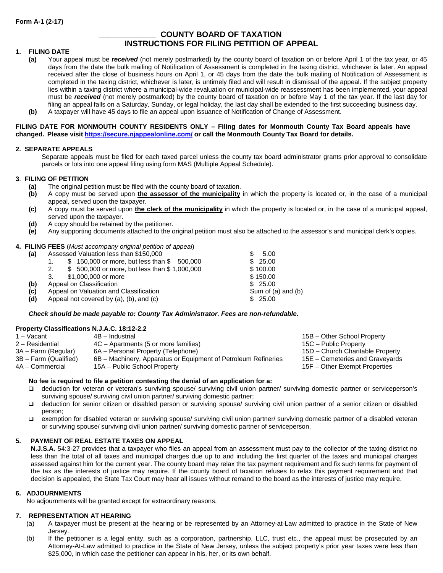# **\_\_\_\_\_\_\_\_\_\_\_\_\_ COUNTY BOARD OF TAXATION INSTRUCTIONS FOR FILING PETITION OF APPEAL**

# **1. FILING DATE**

- **(a)** Your appeal must be *received* (not merely postmarked) by the county board of taxation on or before April 1 of the tax year, or 45 days from the date the bulk mailing of Notification of Assessment is completed in the taxing district, whichever is later. An appeal received after the close of business hours on April 1, or 45 days from the date the bulk mailing of Notification of Assessment is completed in the taxing district, whichever is later, is untimely filed and will result in dismissal of the appeal. If the subject property lies within a taxing district where a municipal-wide revaluation or municipal-wide reassessment has been implemented, your appeal must be *received* (not merely postmarked) by the county board of taxation on or before May 1 of the tax year. If the last day for filing an appeal falls on a Saturday, Sunday, or legal holiday, the last day shall be extended to the first succeeding business day.
- **(b)** A taxpayer will have 45 days to file an appeal upon issuance of Notification of Change of Assessment.

#### **FILING DATE FOR MONMOUTH COUNTY RESIDENTS ONLY – Filing dates for Monmouth County Tax Board appeals have changed. Please visit [https://secure.njappealon](https://secure.njappealonline.com/)line.com/ or call the Monmouth County Tax Board for details.**

#### **2. SEPARATE APPEALS**

Separate appeals must be filed for each taxed parcel unless the county tax board administrator grants prior approval to consolidate parcels or lots into one appeal filing using form MAS (Multiple Appeal Schedule).

## **3**. **FILING OF PETITION**

- **(a)** The original petition must be filed with the county board of taxation.
- **(b)** A copy must be served upon **the assessor of the municipality** in which the property is located or, in the case of a municipal appeal, served upon the taxpayer.
- **(c)** A copy must be served upon **the clerk of the municipality** in which the property is located or, in the case of a municipal appeal, served upon the taxpayer.
- **(d)** A copy should be retained by the petitioner.
- **(e)** Any supporting documents attached to the original petition must also be attached to the assessor's and municipal clerk's copies.

#### **4. FILING FEES** (*Must accompany original petition of appeal*)

| (a) | Assessed Valuation less than \$150,000             | 5.00               |
|-----|----------------------------------------------------|--------------------|
|     | \$150,000 or more, but less than \$500,000         | \$25.00            |
|     | \$500,000 or more, but less than \$1,000,000<br>2. | \$100.00           |
|     | \$1,000,000 or more<br>3.                          | \$150.00           |
| (b) | Appeal on Classification                           | \$25.00            |
| (c) | Appeal on Valuation and Classification             | Sum of (a) and (b) |
| (d) | Appeal not covered by (a), (b), and (c)            | \$25.00            |
|     |                                                    |                    |

#### *Check should be made payable to: County Tax Administrator. Fees are non-refundable.*

# **Property Classifications N.J.A.C. 18:12-2.2**

| 1 – Vacant            | 4B - Industrial                                                | 15B - Other School Property      |
|-----------------------|----------------------------------------------------------------|----------------------------------|
| 2 – Residential       | 4C – Apartments (5 or more families)                           | 15C – Public Property            |
| 3A – Farm (Regular)   | 6A – Personal Property (Telephone)                             | 15D - Church Charitable Property |
| 3B – Farm (Qualified) | 6B – Machinery, Apparatus or Equipment of Petroleum Refineries | 15E - Cemeteries and Graveyards  |
| 4A – Commercial       | 15A – Public School Property                                   | 15F – Other Exempt Properties    |
|                       |                                                                |                                  |

#### **No fee is required to file a petition contesting the denial of an application for a:**

- deduction for veteran or veteran's surviving spouse/ surviving civil union partner/ surviving domestic partner or serviceperson's surviving spouse/ surviving civil union partner/ surviving domestic partner;
- deduction for senior citizen or disabled person or surviving spouse/ surviving civil union partner of a senior citizen or disabled person;
- exemption for disabled veteran or surviving spouse/ surviving civil union partner/ surviving domestic partner of a disabled veteran or surviving spouse/ surviving civil union partner/ surviving domestic partner of serviceperson.

#### **5. PAYMENT OF REAL ESTATE TAXES ON APPEAL**

**N.J.S.A.** 54:3-27 provides that a taxpayer who files an appeal from an assessment must pay to the collector of the taxing district no less than the total of all taxes and municipal charges due up to and including the first quarter of the taxes and municipal charges assessed against him for the current year. The county board may relax the tax payment requirement and fix such terms for payment of the tax as the interests of justice may require. If the county board of taxation refuses to relax this payment requirement and that decision is appealed, the State Tax Court may hear all issues without remand to the board as the interests of justice may require.

#### **6. ADJOURNMENTS**

No adjournments will be granted except for extraordinary reasons.

# **7. REPRESENTATION AT HEARING**<br>(a) A taxpayer must be present

- A taxpayer must be present at the hearing or be represented by an Attorney-at-Law admitted to practice in the State of New Jersey.
- (b) If the petitioner is a legal entity, such as a corporation, partnership, LLC, trust etc., the appeal must be prosecuted by an Attorney-At-Law admitted to practice in the State of New Jersey, unless the subject property's prior year taxes were less than \$25,000, in which case the petitioner can appear in his, her, or its own behalf.